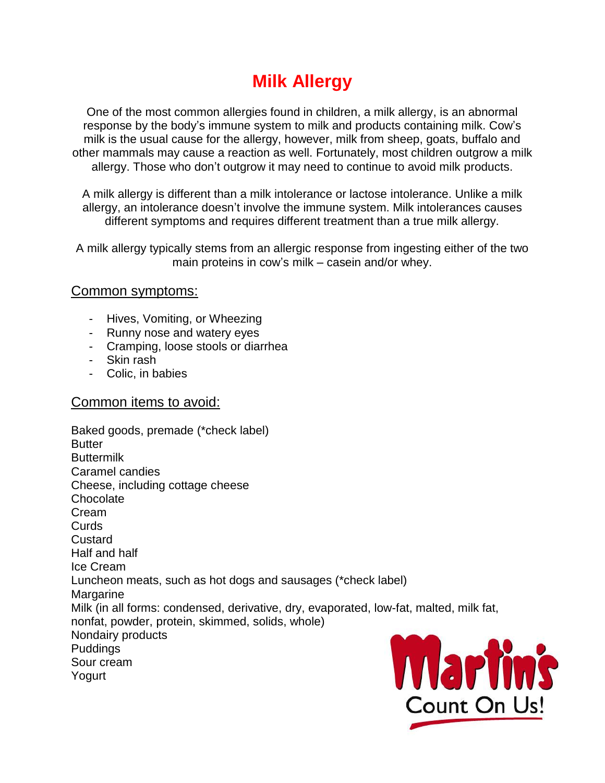# **Milk Allergy**

One of the most common allergies found in children, a milk allergy, is an abnormal response by the body's immune system to milk and products containing milk. Cow's milk is the usual cause for the allergy, however, milk from sheep, goats, buffalo and other mammals may cause a reaction as well. Fortunately, most children outgrow a milk allergy. Those who don't outgrow it may need to continue to avoid milk products.

A milk allergy is different than a milk intolerance or lactose intolerance. Unlike a milk allergy, an intolerance doesn't involve the immune system. Milk intolerances causes different symptoms and requires different treatment than a true milk allergy.

A milk allergy typically stems from an allergic response from ingesting either of the two main proteins in cow's milk – casein and/or whey.

## Common symptoms:

- Hives, Vomiting, or Wheezing
- Runny nose and watery eyes
- Cramping, loose stools or diarrhea
- Skin rash
- Colic, in babies

### Common items to avoid:

Baked goods, premade (\*check label) **Butter Buttermilk** Caramel candies Cheese, including cottage cheese **Chocolate** Cream Curds **Custard** Half and half Ice Cream Luncheon meats, such as hot dogs and sausages (\*check label) Margarine Milk (in all forms: condensed, derivative, dry, evaporated, low-fat, malted, milk fat, nonfat, powder, protein, skimmed, solids, whole) Nondairy products Puddings Sour cream Yogurt